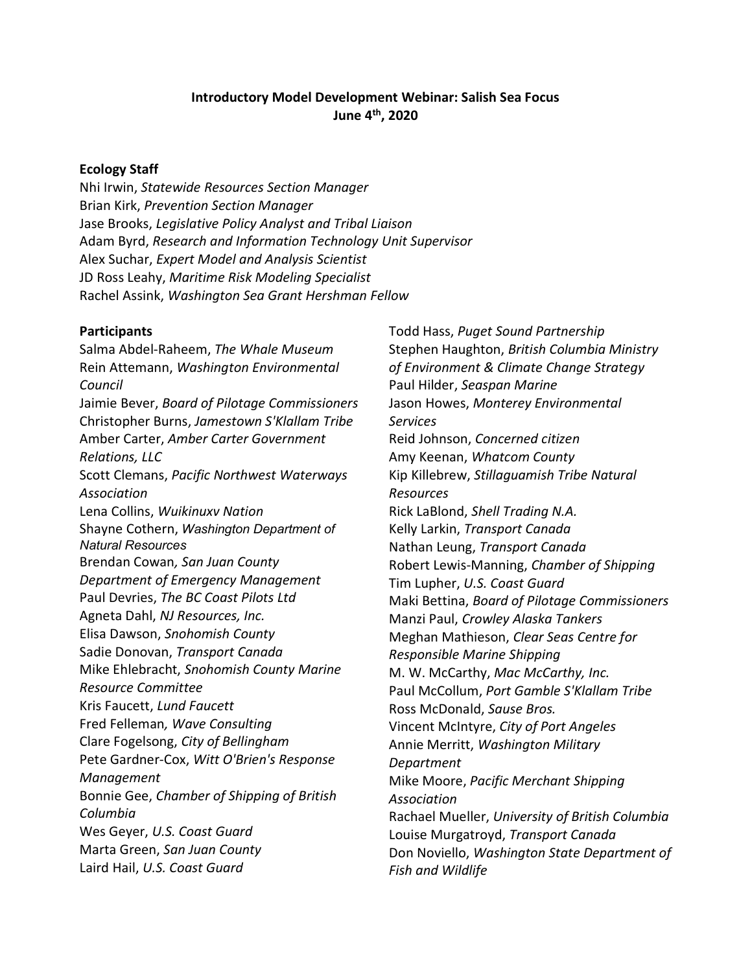### Introductory Model Development Webinar: Salish Sea Focus June 4th, 2020

#### Ecology Staff

Nhi Irwin, Statewide Resources Section Manager Brian Kirk, Prevention Section Manager Jase Brooks, Legislative Policy Analyst and Tribal Liaison Adam Byrd, Research and Information Technology Unit Supervisor Alex Suchar, Expert Model and Analysis Scientist JD Ross Leahy, Maritime Risk Modeling Specialist Rachel Assink, Washington Sea Grant Hershman Fellow

#### Participants

Salma Abdel-Raheem, The Whale Museum Rein Attemann, Washington Environmental Council Jaimie Bever, Board of Pilotage Commissioners Christopher Burns, Jamestown S'Klallam Tribe Amber Carter, Amber Carter Government Relations, LLC Scott Clemans, Pacific Northwest Waterways Association Lena Collins, Wuikinuxv Nation Shayne Cothern, Washington Department of Natural Resources Brendan Cowan, San Juan County Department of Emergency Management Paul Devries, The BC Coast Pilots Ltd Agneta Dahl, NJ Resources, Inc. Elisa Dawson, Snohomish County Sadie Donovan, Transport Canada Mike Ehlebracht, Snohomish County Marine Resource Committee Kris Faucett, Lund Faucett Fred Felleman, Wave Consulting Clare Fogelsong, City of Bellingham Pete Gardner-Cox, Witt O'Brien's Response Management Bonnie Gee, Chamber of Shipping of British Columbia Wes Geyer, U.S. Coast Guard Marta Green, San Juan County Laird Hail, U.S. Coast Guard

Todd Hass, Puget Sound Partnership Stephen Haughton, British Columbia Ministry of Environment & Climate Change Strategy Paul Hilder, Seaspan Marine Jason Howes, Monterey Environmental Services Reid Johnson, Concerned citizen Amy Keenan, Whatcom County Kip Killebrew, Stillaguamish Tribe Natural Resources Rick LaBlond, Shell Trading N.A. Kelly Larkin, Transport Canada Nathan Leung, Transport Canada Robert Lewis-Manning, Chamber of Shipping Tim Lupher, U.S. Coast Guard Maki Bettina, Board of Pilotage Commissioners Manzi Paul, Crowley Alaska Tankers Meghan Mathieson, Clear Seas Centre for Responsible Marine Shipping M. W. McCarthy, Mac McCarthy, Inc. Paul McCollum, Port Gamble S'Klallam Tribe Ross McDonald, Sause Bros. Vincent McIntyre, City of Port Angeles Annie Merritt, Washington Military Department Mike Moore, Pacific Merchant Shipping Association Rachael Mueller, University of British Columbia Louise Murgatroyd, Transport Canada Don Noviello, Washington State Department of Fish and Wildlife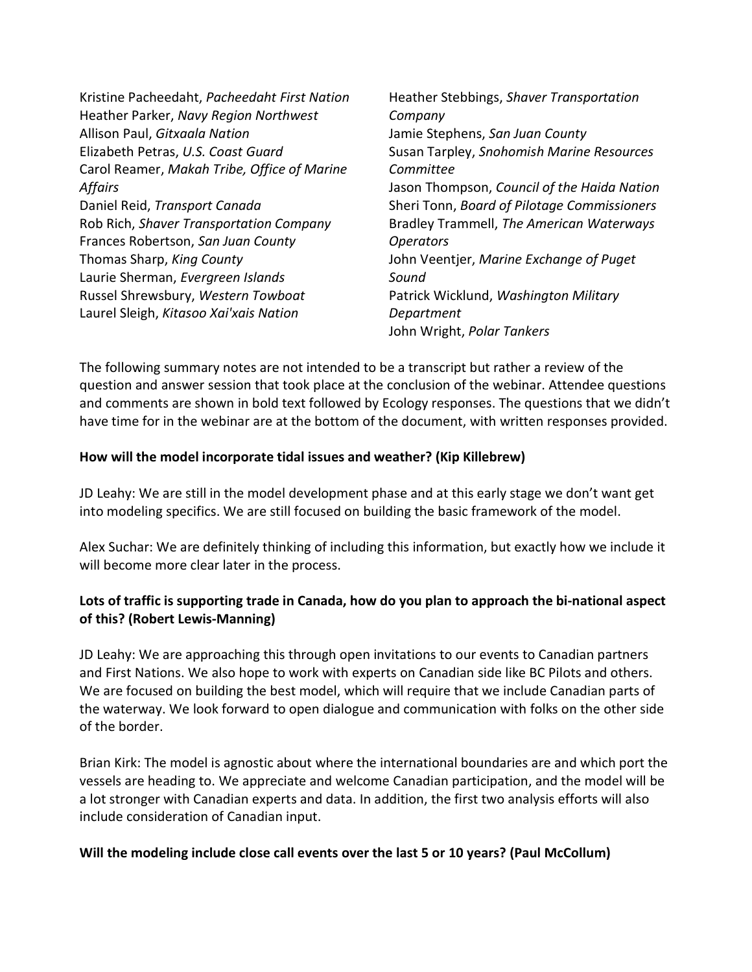| Kristine Pacheedaht, Pacheedaht First Nation | Heather Stebbings, Shaver Transportation    |
|----------------------------------------------|---------------------------------------------|
| Heather Parker, Navy Region Northwest        | Company                                     |
| Allison Paul, Gitxaala Nation                | Jamie Stephens, San Juan County             |
| Elizabeth Petras, U.S. Coast Guard           | Susan Tarpley, Snohomish Marine Resources   |
| Carol Reamer, Makah Tribe, Office of Marine  | Committee                                   |
| Affairs                                      | Jason Thompson, Council of the Haida Nation |
| Daniel Reid, Transport Canada                | Sheri Tonn, Board of Pilotage Commissioners |
| Rob Rich, Shaver Transportation Company      | Bradley Trammell, The American Waterways    |
| Frances Robertson, San Juan County           | <b>Operators</b>                            |
| Thomas Sharp, King County                    | John Veentjer, Marine Exchange of Puget     |
| Laurie Sherman, Evergreen Islands            | Sound                                       |
| Russel Shrewsbury, Western Towboat           | Patrick Wicklund, Washington Military       |
| Laurel Sleigh, Kitasoo Xai'xais Nation       | Department                                  |
|                                              | John Wright, Polar Tankers                  |

The following summary notes are not intended to be a transcript but rather a review of the question and answer session that took place at the conclusion of the webinar. Attendee questions and comments are shown in bold text followed by Ecology responses. The questions that we didn't have time for in the webinar are at the bottom of the document, with written responses provided.

#### How will the model incorporate tidal issues and weather? (Kip Killebrew)

JD Leahy: We are still in the model development phase and at this early stage we don't want get into modeling specifics. We are still focused on building the basic framework of the model.

Alex Suchar: We are definitely thinking of including this information, but exactly how we include it will become more clear later in the process.

## Lots of traffic is supporting trade in Canada, how do you plan to approach the bi-national aspect of this? (Robert Lewis-Manning)

JD Leahy: We are approaching this through open invitations to our events to Canadian partners and First Nations. We also hope to work with experts on Canadian side like BC Pilots and others. We are focused on building the best model, which will require that we include Canadian parts of the waterway. We look forward to open dialogue and communication with folks on the other side of the border.

Brian Kirk: The model is agnostic about where the international boundaries are and which port the vessels are heading to. We appreciate and welcome Canadian participation, and the model will be a lot stronger with Canadian experts and data. In addition, the first two analysis efforts will also include consideration of Canadian input.

### Will the modeling include close call events over the last 5 or 10 years? (Paul McCollum)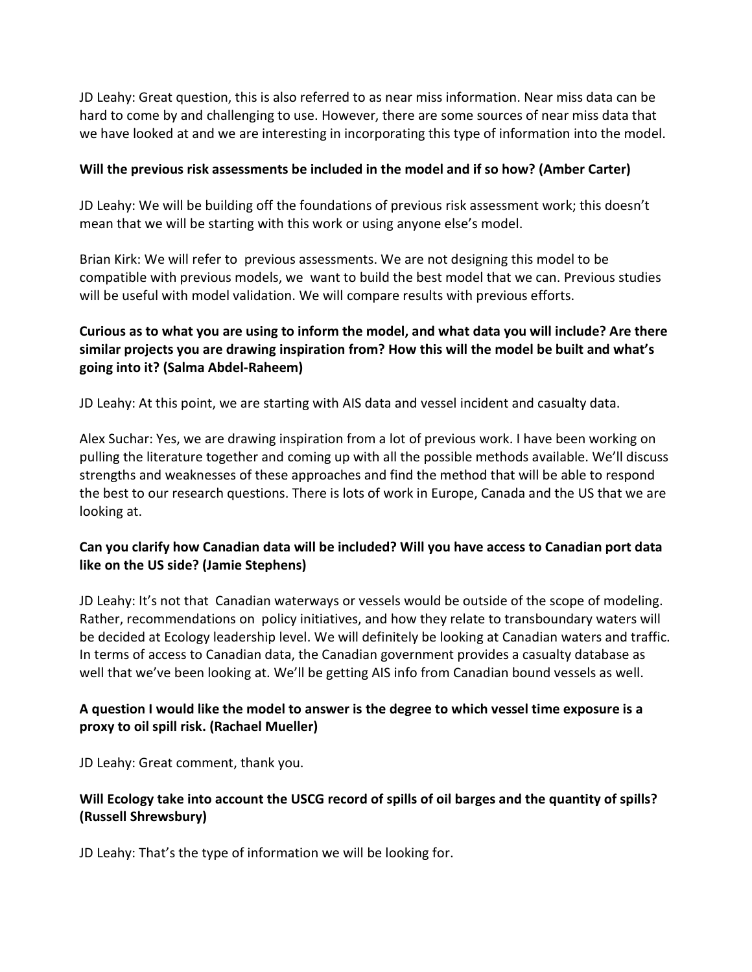JD Leahy: Great question, this is also referred to as near miss information. Near miss data can be hard to come by and challenging to use. However, there are some sources of near miss data that we have looked at and we are interesting in incorporating this type of information into the model.

#### Will the previous risk assessments be included in the model and if so how? (Amber Carter)

JD Leahy: We will be building off the foundations of previous risk assessment work; this doesn't mean that we will be starting with this work or using anyone else's model.

Brian Kirk: We will refer to previous assessments. We are not designing this model to be compatible with previous models, we want to build the best model that we can. Previous studies will be useful with model validation. We will compare results with previous efforts.

## Curious as to what you are using to inform the model, and what data you will include? Are there similar projects you are drawing inspiration from? How this will the model be built and what's going into it? (Salma Abdel-Raheem)

JD Leahy: At this point, we are starting with AIS data and vessel incident and casualty data.

Alex Suchar: Yes, we are drawing inspiration from a lot of previous work. I have been working on pulling the literature together and coming up with all the possible methods available. We'll discuss strengths and weaknesses of these approaches and find the method that will be able to respond the best to our research questions. There is lots of work in Europe, Canada and the US that we are looking at.

### Can you clarify how Canadian data will be included? Will you have access to Canadian port data like on the US side? (Jamie Stephens)

JD Leahy: It's not that Canadian waterways or vessels would be outside of the scope of modeling. Rather, recommendations on policy initiatives, and how they relate to transboundary waters will be decided at Ecology leadership level. We will definitely be looking at Canadian waters and traffic. In terms of access to Canadian data, the Canadian government provides a casualty database as well that we've been looking at. We'll be getting AIS info from Canadian bound vessels as well.

### A question I would like the model to answer is the degree to which vessel time exposure is a proxy to oil spill risk. (Rachael Mueller)

JD Leahy: Great comment, thank you.

## Will Ecology take into account the USCG record of spills of oil barges and the quantity of spills? (Russell Shrewsbury)

JD Leahy: That's the type of information we will be looking for.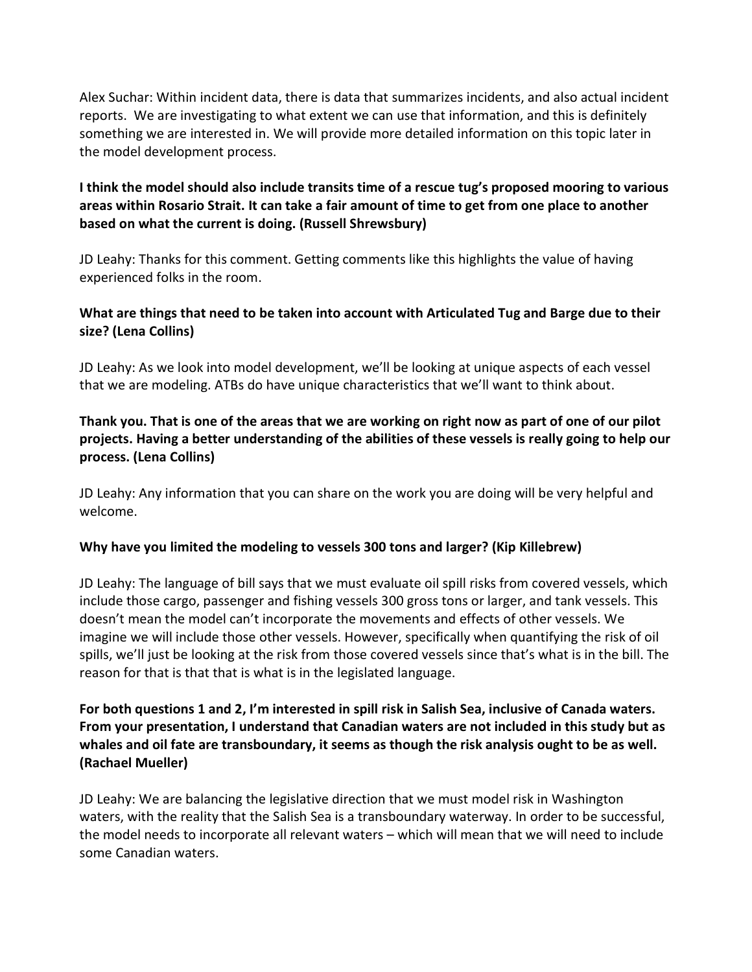Alex Suchar: Within incident data, there is data that summarizes incidents, and also actual incident reports. We are investigating to what extent we can use that information, and this is definitely something we are interested in. We will provide more detailed information on this topic later in the model development process.

## I think the model should also include transits time of a rescue tug's proposed mooring to various areas within Rosario Strait. It can take a fair amount of time to get from one place to another based on what the current is doing. (Russell Shrewsbury)

JD Leahy: Thanks for this comment. Getting comments like this highlights the value of having experienced folks in the room.

## What are things that need to be taken into account with Articulated Tug and Barge due to their size? (Lena Collins)

JD Leahy: As we look into model development, we'll be looking at unique aspects of each vessel that we are modeling. ATBs do have unique characteristics that we'll want to think about.

## Thank you. That is one of the areas that we are working on right now as part of one of our pilot projects. Having a better understanding of the abilities of these vessels is really going to help our process. (Lena Collins)

JD Leahy: Any information that you can share on the work you are doing will be very helpful and welcome.

### Why have you limited the modeling to vessels 300 tons and larger? (Kip Killebrew)

JD Leahy: The language of bill says that we must evaluate oil spill risks from covered vessels, which include those cargo, passenger and fishing vessels 300 gross tons or larger, and tank vessels. This doesn't mean the model can't incorporate the movements and effects of other vessels. We imagine we will include those other vessels. However, specifically when quantifying the risk of oil spills, we'll just be looking at the risk from those covered vessels since that's what is in the bill. The reason for that is that that is what is in the legislated language.

## For both questions 1 and 2, I'm interested in spill risk in Salish Sea, inclusive of Canada waters. From your presentation, I understand that Canadian waters are not included in this study but as whales and oil fate are transboundary, it seems as though the risk analysis ought to be as well. (Rachael Mueller)

JD Leahy: We are balancing the legislative direction that we must model risk in Washington waters, with the reality that the Salish Sea is a transboundary waterway. In order to be successful, the model needs to incorporate all relevant waters – which will mean that we will need to include some Canadian waters.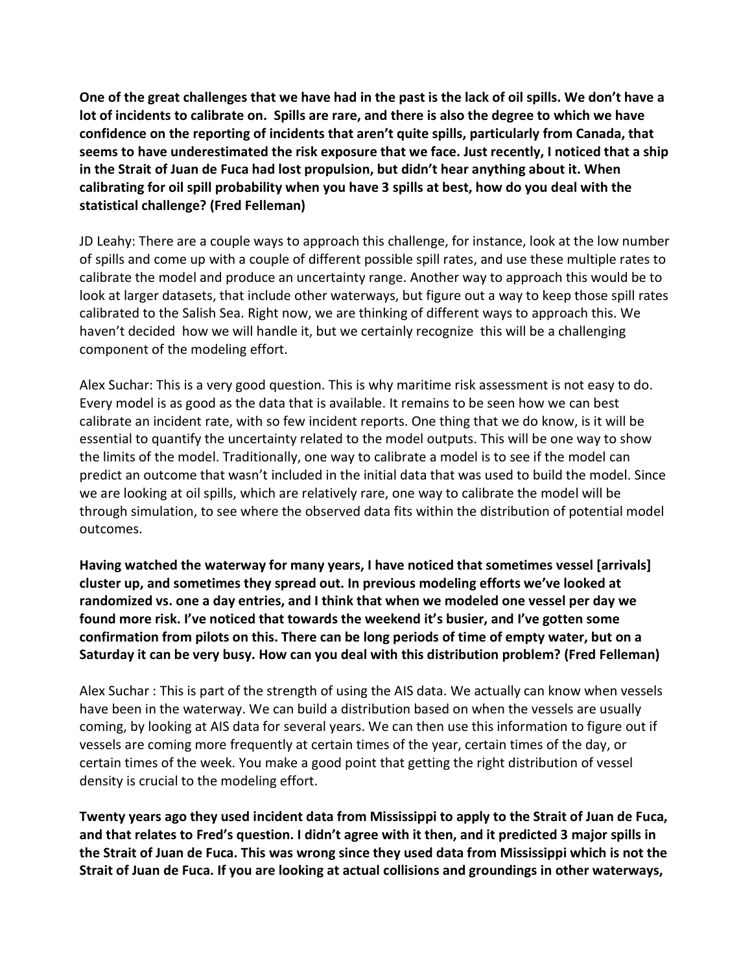One of the great challenges that we have had in the past is the lack of oil spills. We don't have a lot of incidents to calibrate on. Spills are rare, and there is also the degree to which we have confidence on the reporting of incidents that aren't quite spills, particularly from Canada, that seems to have underestimated the risk exposure that we face. Just recently, I noticed that a ship in the Strait of Juan de Fuca had lost propulsion, but didn't hear anything about it. When calibrating for oil spill probability when you have 3 spills at best, how do you deal with the statistical challenge? (Fred Felleman)

JD Leahy: There are a couple ways to approach this challenge, for instance, look at the low number of spills and come up with a couple of different possible spill rates, and use these multiple rates to calibrate the model and produce an uncertainty range. Another way to approach this would be to look at larger datasets, that include other waterways, but figure out a way to keep those spill rates calibrated to the Salish Sea. Right now, we are thinking of different ways to approach this. We haven't decided how we will handle it, but we certainly recognize this will be a challenging component of the modeling effort.

Alex Suchar: This is a very good question. This is why maritime risk assessment is not easy to do. Every model is as good as the data that is available. It remains to be seen how we can best calibrate an incident rate, with so few incident reports. One thing that we do know, is it will be essential to quantify the uncertainty related to the model outputs. This will be one way to show the limits of the model. Traditionally, one way to calibrate a model is to see if the model can predict an outcome that wasn't included in the initial data that was used to build the model. Since we are looking at oil spills, which are relatively rare, one way to calibrate the model will be through simulation, to see where the observed data fits within the distribution of potential model outcomes.

Having watched the waterway for many years, I have noticed that sometimes vessel [arrivals] cluster up, and sometimes they spread out. In previous modeling efforts we've looked at randomized vs. one a day entries, and I think that when we modeled one vessel per day we found more risk. I've noticed that towards the weekend it's busier, and I've gotten some confirmation from pilots on this. There can be long periods of time of empty water, but on a Saturday it can be very busy. How can you deal with this distribution problem? (Fred Felleman)

Alex Suchar : This is part of the strength of using the AIS data. We actually can know when vessels have been in the waterway. We can build a distribution based on when the vessels are usually coming, by looking at AIS data for several years. We can then use this information to figure out if vessels are coming more frequently at certain times of the year, certain times of the day, or certain times of the week. You make a good point that getting the right distribution of vessel density is crucial to the modeling effort.

Twenty years ago they used incident data from Mississippi to apply to the Strait of Juan de Fuca, and that relates to Fred's question. I didn't agree with it then, and it predicted 3 major spills in the Strait of Juan de Fuca. This was wrong since they used data from Mississippi which is not the Strait of Juan de Fuca. If you are looking at actual collisions and groundings in other waterways,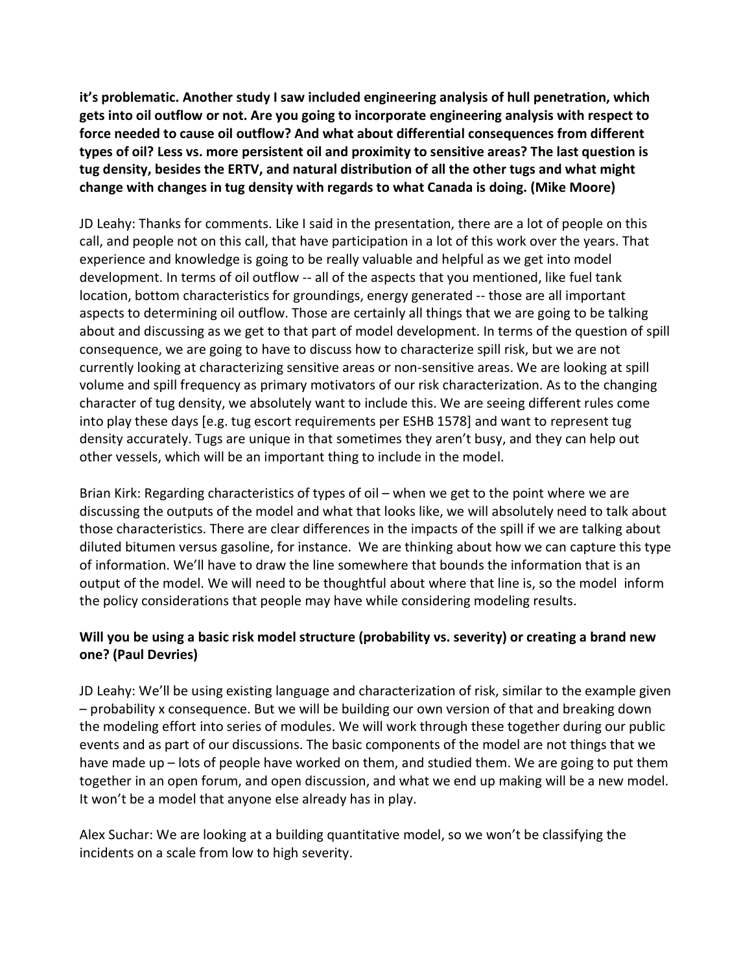it's problematic. Another study I saw included engineering analysis of hull penetration, which gets into oil outflow or not. Are you going to incorporate engineering analysis with respect to force needed to cause oil outflow? And what about differential consequences from different types of oil? Less vs. more persistent oil and proximity to sensitive areas? The last question is tug density, besides the ERTV, and natural distribution of all the other tugs and what might change with changes in tug density with regards to what Canada is doing. (Mike Moore)

JD Leahy: Thanks for comments. Like I said in the presentation, there are a lot of people on this call, and people not on this call, that have participation in a lot of this work over the years. That experience and knowledge is going to be really valuable and helpful as we get into model development. In terms of oil outflow -- all of the aspects that you mentioned, like fuel tank location, bottom characteristics for groundings, energy generated -- those are all important aspects to determining oil outflow. Those are certainly all things that we are going to be talking about and discussing as we get to that part of model development. In terms of the question of spill consequence, we are going to have to discuss how to characterize spill risk, but we are not currently looking at characterizing sensitive areas or non-sensitive areas. We are looking at spill volume and spill frequency as primary motivators of our risk characterization. As to the changing character of tug density, we absolutely want to include this. We are seeing different rules come into play these days [e.g. tug escort requirements per ESHB 1578] and want to represent tug density accurately. Tugs are unique in that sometimes they aren't busy, and they can help out other vessels, which will be an important thing to include in the model.

Brian Kirk: Regarding characteristics of types of oil – when we get to the point where we are discussing the outputs of the model and what that looks like, we will absolutely need to talk about those characteristics. There are clear differences in the impacts of the spill if we are talking about diluted bitumen versus gasoline, for instance. We are thinking about how we can capture this type of information. We'll have to draw the line somewhere that bounds the information that is an output of the model. We will need to be thoughtful about where that line is, so the model inform the policy considerations that people may have while considering modeling results.

# Will you be using a basic risk model structure (probability vs. severity) or creating a brand new one? (Paul Devries)

JD Leahy: We'll be using existing language and characterization of risk, similar to the example given – probability x consequence. But we will be building our own version of that and breaking down the modeling effort into series of modules. We will work through these together during our public events and as part of our discussions. The basic components of the model are not things that we have made up – lots of people have worked on them, and studied them. We are going to put them together in an open forum, and open discussion, and what we end up making will be a new model. It won't be a model that anyone else already has in play.

Alex Suchar: We are looking at a building quantitative model, so we won't be classifying the incidents on a scale from low to high severity.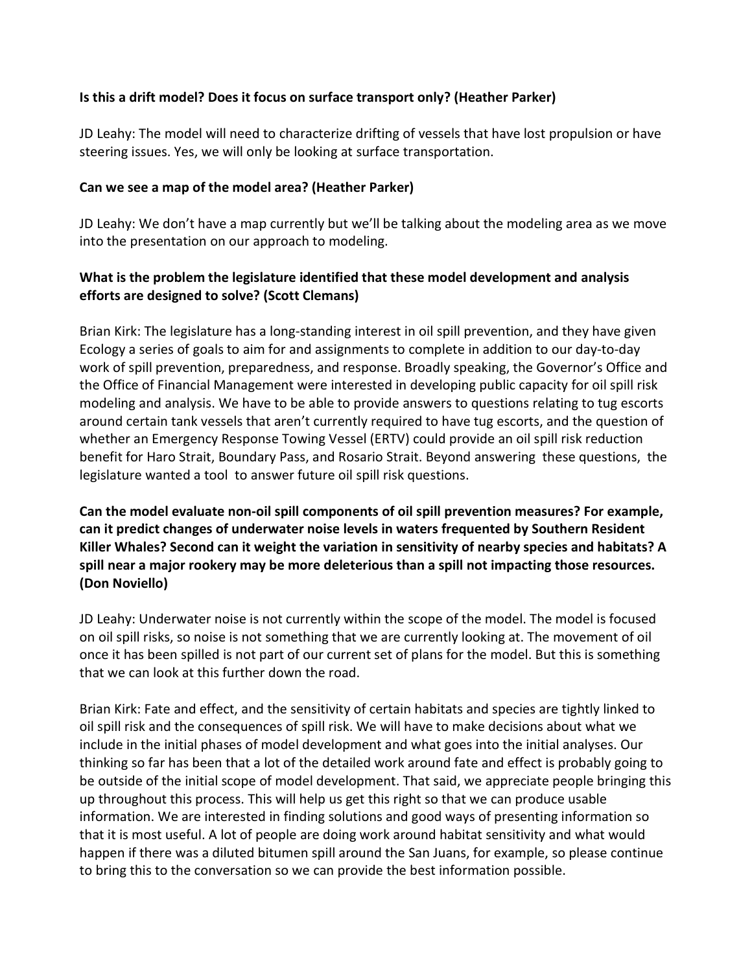#### Is this a drift model? Does it focus on surface transport only? (Heather Parker)

JD Leahy: The model will need to characterize drifting of vessels that have lost propulsion or have steering issues. Yes, we will only be looking at surface transportation.

#### Can we see a map of the model area? (Heather Parker)

JD Leahy: We don't have a map currently but we'll be talking about the modeling area as we move into the presentation on our approach to modeling.

### What is the problem the legislature identified that these model development and analysis efforts are designed to solve? (Scott Clemans)

Brian Kirk: The legislature has a long-standing interest in oil spill prevention, and they have given Ecology a series of goals to aim for and assignments to complete in addition to our day-to-day work of spill prevention, preparedness, and response. Broadly speaking, the Governor's Office and the Office of Financial Management were interested in developing public capacity for oil spill risk modeling and analysis. We have to be able to provide answers to questions relating to tug escorts around certain tank vessels that aren't currently required to have tug escorts, and the question of whether an Emergency Response Towing Vessel (ERTV) could provide an oil spill risk reduction benefit for Haro Strait, Boundary Pass, and Rosario Strait. Beyond answering these questions, the legislature wanted a tool to answer future oil spill risk questions.

Can the model evaluate non-oil spill components of oil spill prevention measures? For example, can it predict changes of underwater noise levels in waters frequented by Southern Resident Killer Whales? Second can it weight the variation in sensitivity of nearby species and habitats? A spill near a major rookery may be more deleterious than a spill not impacting those resources. (Don Noviello)

JD Leahy: Underwater noise is not currently within the scope of the model. The model is focused on oil spill risks, so noise is not something that we are currently looking at. The movement of oil once it has been spilled is not part of our current set of plans for the model. But this is something that we can look at this further down the road.

Brian Kirk: Fate and effect, and the sensitivity of certain habitats and species are tightly linked to oil spill risk and the consequences of spill risk. We will have to make decisions about what we include in the initial phases of model development and what goes into the initial analyses. Our thinking so far has been that a lot of the detailed work around fate and effect is probably going to be outside of the initial scope of model development. That said, we appreciate people bringing this up throughout this process. This will help us get this right so that we can produce usable information. We are interested in finding solutions and good ways of presenting information so that it is most useful. A lot of people are doing work around habitat sensitivity and what would happen if there was a diluted bitumen spill around the San Juans, for example, so please continue to bring this to the conversation so we can provide the best information possible.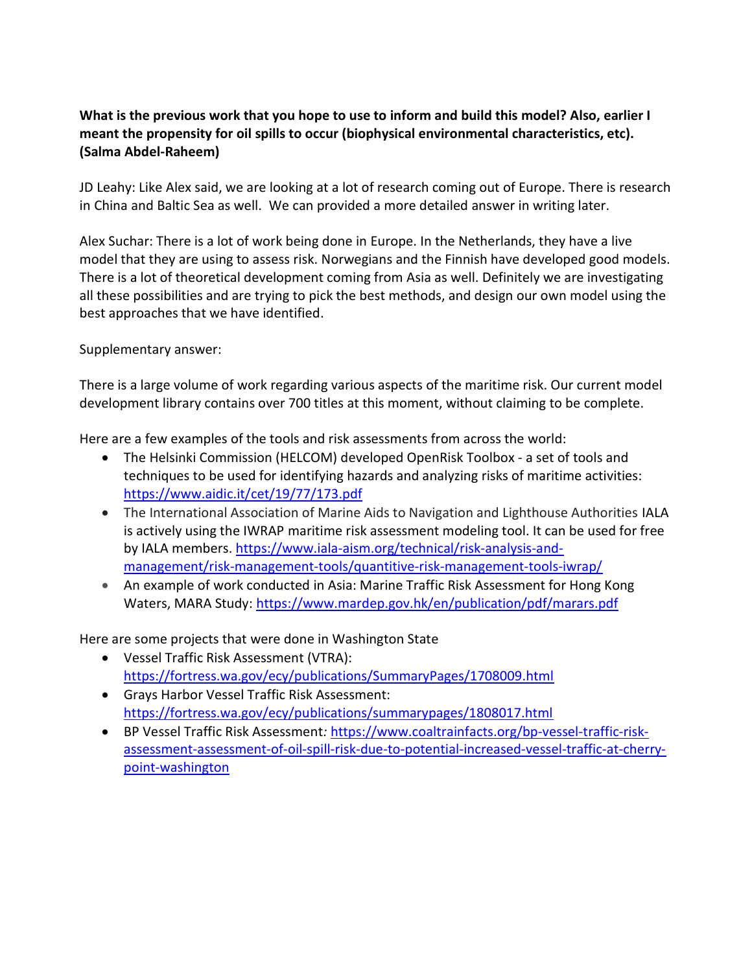## What is the previous work that you hope to use to inform and build this model? Also, earlier I meant the propensity for oil spills to occur (biophysical environmental characteristics, etc). (Salma Abdel-Raheem)

JD Leahy: Like Alex said, we are looking at a lot of research coming out of Europe. There is research in China and Baltic Sea as well. We can provided a more detailed answer in writing later.

Alex Suchar: There is a lot of work being done in Europe. In the Netherlands, they have a live model that they are using to assess risk. Norwegians and the Finnish have developed good models. There is a lot of theoretical development coming from Asia as well. Definitely we are investigating all these possibilities and are trying to pick the best methods, and design our own model using the best approaches that we have identified.

Supplementary answer:

There is a large volume of work regarding various aspects of the maritime risk. Our current model development library contains over 700 titles at this moment, without claiming to be complete.

Here are a few examples of the tools and risk assessments from across the world:

- The Helsinki Commission (HELCOM) developed OpenRisk Toolbox a set of tools and techniques to be used for identifying hazards and analyzing risks of maritime activities: https://www.aidic.it/cet/19/77/173.pdf
- The International Association of Marine Aids to Navigation and Lighthouse Authorities IALA is actively using the IWRAP maritime risk assessment modeling tool. It can be used for free by IALA members. https://www.iala-aism.org/technical/risk-analysis-andmanagement/risk-management-tools/quantitive-risk-management-tools-iwrap/
- An example of work conducted in Asia: Marine Traffic Risk Assessment for Hong Kong Waters, MARA Study: https://www.mardep.gov.hk/en/publication/pdf/marars.pdf

Here are some projects that were done in Washington State

- Vessel Traffic Risk Assessment (VTRA): https://fortress.wa.gov/ecy/publications/SummaryPages/1708009.html
- Grays Harbor Vessel Traffic Risk Assessment: https://fortress.wa.gov/ecy/publications/summarypages/1808017.html
- BP Vessel Traffic Risk Assessment: https://www.coaltrainfacts.org/bp-vessel-traffic-riskassessment-assessment-of-oil-spill-risk-due-to-potential-increased-vessel-traffic-at-cherrypoint-washington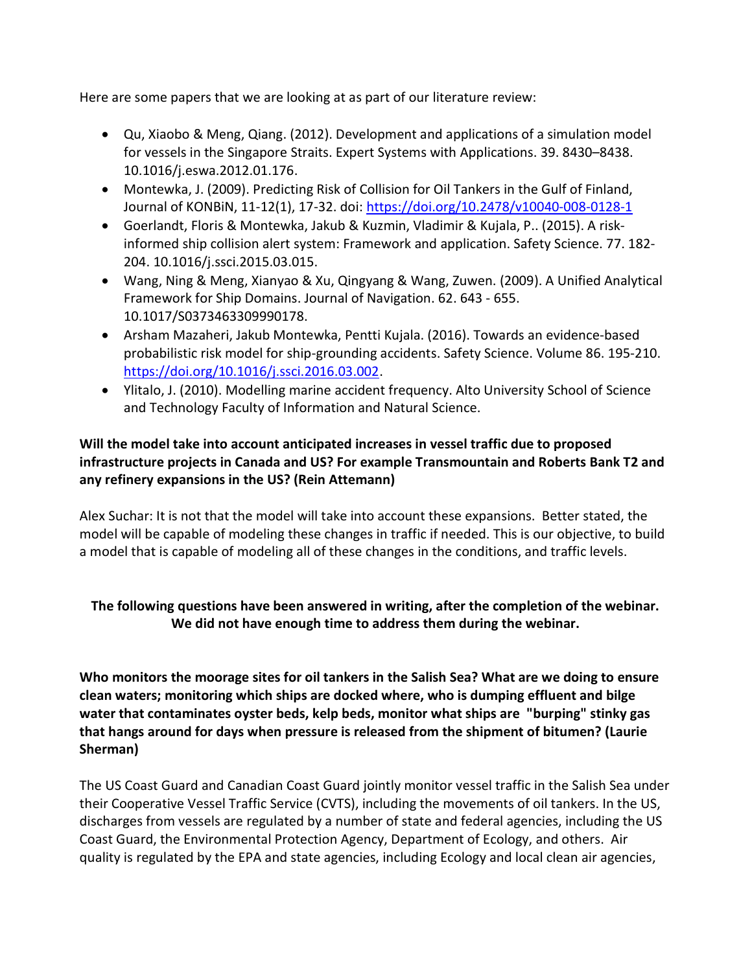Here are some papers that we are looking at as part of our literature review:

- Qu, Xiaobo & Meng, Qiang. (2012). Development and applications of a simulation model for vessels in the Singapore Straits. Expert Systems with Applications. 39. 8430–8438. 10.1016/j.eswa.2012.01.176.
- Montewka, J. (2009). Predicting Risk of Collision for Oil Tankers in the Gulf of Finland, Journal of KONBiN, 11-12(1), 17-32. doi: https://doi.org/10.2478/v10040-008-0128-1
- Goerlandt, Floris & Montewka, Jakub & Kuzmin, Vladimir & Kujala, P.. (2015). A riskinformed ship collision alert system: Framework and application. Safety Science. 77. 182- 204. 10.1016/j.ssci.2015.03.015.
- Wang, Ning & Meng, Xianyao & Xu, Qingyang & Wang, Zuwen. (2009). A Unified Analytical Framework for Ship Domains. Journal of Navigation. 62. 643 - 655. 10.1017/S0373463309990178.
- Arsham Mazaheri, Jakub Montewka, Pentti Kujala. (2016). Towards an evidence-based probabilistic risk model for ship-grounding accidents. Safety Science. Volume 86. 195-210. https://doi.org/10.1016/j.ssci.2016.03.002.
- Ylitalo, J. (2010). Modelling marine accident frequency. Alto University School of Science and Technology Faculty of Information and Natural Science.

## Will the model take into account anticipated increases in vessel traffic due to proposed infrastructure projects in Canada and US? For example Transmountain and Roberts Bank T2 and any refinery expansions in the US? (Rein Attemann)

Alex Suchar: It is not that the model will take into account these expansions. Better stated, the model will be capable of modeling these changes in traffic if needed. This is our objective, to build a model that is capable of modeling all of these changes in the conditions, and traffic levels.

# The following questions have been answered in writing, after the completion of the webinar. We did not have enough time to address them during the webinar.

Who monitors the moorage sites for oil tankers in the Salish Sea? What are we doing to ensure clean waters; monitoring which ships are docked where, who is dumping effluent and bilge water that contaminates oyster beds, kelp beds, monitor what ships are "burping" stinky gas that hangs around for days when pressure is released from the shipment of bitumen? (Laurie Sherman)

The US Coast Guard and Canadian Coast Guard jointly monitor vessel traffic in the Salish Sea under their Cooperative Vessel Traffic Service (CVTS), including the movements of oil tankers. In the US, discharges from vessels are regulated by a number of state and federal agencies, including the US Coast Guard, the Environmental Protection Agency, Department of Ecology, and others. Air quality is regulated by the EPA and state agencies, including Ecology and local clean air agencies,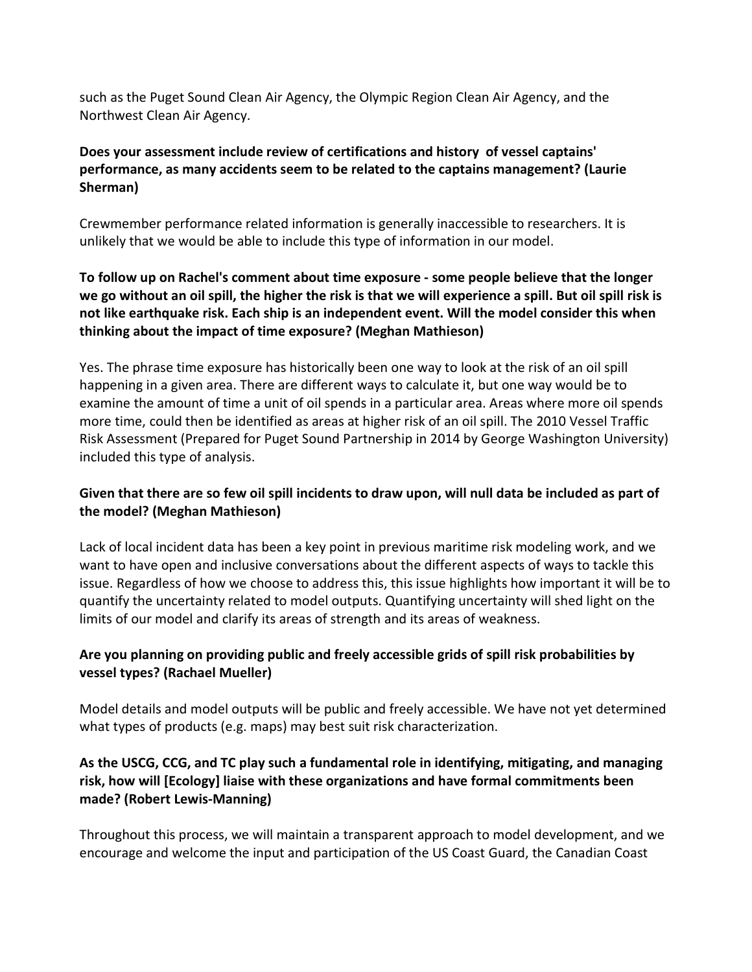such as the Puget Sound Clean Air Agency, the Olympic Region Clean Air Agency, and the Northwest Clean Air Agency.

## Does your assessment include review of certifications and history of vessel captains' performance, as many accidents seem to be related to the captains management? (Laurie Sherman)

Crewmember performance related information is generally inaccessible to researchers. It is unlikely that we would be able to include this type of information in our model.

## To follow up on Rachel's comment about time exposure - some people believe that the longer we go without an oil spill, the higher the risk is that we will experience a spill. But oil spill risk is not like earthquake risk. Each ship is an independent event. Will the model consider this when thinking about the impact of time exposure? (Meghan Mathieson)

Yes. The phrase time exposure has historically been one way to look at the risk of an oil spill happening in a given area. There are different ways to calculate it, but one way would be to examine the amount of time a unit of oil spends in a particular area. Areas where more oil spends more time, could then be identified as areas at higher risk of an oil spill. The 2010 Vessel Traffic Risk Assessment (Prepared for Puget Sound Partnership in 2014 by George Washington University) included this type of analysis.

# Given that there are so few oil spill incidents to draw upon, will null data be included as part of the model? (Meghan Mathieson)

Lack of local incident data has been a key point in previous maritime risk modeling work, and we want to have open and inclusive conversations about the different aspects of ways to tackle this issue. Regardless of how we choose to address this, this issue highlights how important it will be to quantify the uncertainty related to model outputs. Quantifying uncertainty will shed light on the limits of our model and clarify its areas of strength and its areas of weakness.

# Are you planning on providing public and freely accessible grids of spill risk probabilities by vessel types? (Rachael Mueller)

Model details and model outputs will be public and freely accessible. We have not yet determined what types of products (e.g. maps) may best suit risk characterization.

## As the USCG, CCG, and TC play such a fundamental role in identifying, mitigating, and managing risk, how will [Ecology] liaise with these organizations and have formal commitments been made? (Robert Lewis-Manning)

Throughout this process, we will maintain a transparent approach to model development, and we encourage and welcome the input and participation of the US Coast Guard, the Canadian Coast